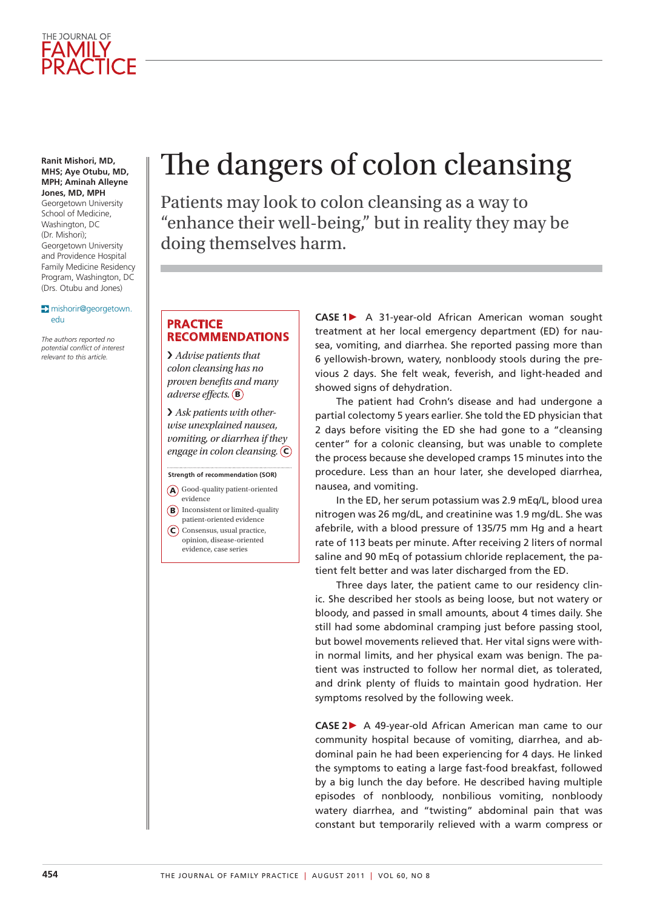

**Ranit Mishori, MD, MHS; Aye Otubu, MD, MPH; Aminah Alleyne Jones, MD, MPH**

Georgetown University School of Medicine, Washington, DC (Dr. Mishori); Georgetown University and Providence Hospital Family Medicine Residency Program, Washington, DC (Drs. Otubu and Jones)

 $\rightarrow$  mishorir@georgetown. edu

*The authors reported no potential conflict of interest relevant to this article.*

# The dangers of colon cleansing

Patients may look to colon cleansing as a way to "enhance their well-being," but in reality they may be doing themselves harm.

# **Practice recommendations**

› *Advise patients that colon cleansing has no proven benefits and many adverse effects.* B

› *Ask patients with otherwise unexplained nausea, vomiting, or diarrhea if they engage in colon cleansing.* C

**Strength of recommendation (SOR)**

- A Good-quality patient-oriented evidence
- **B**) Inconsistent or limited-quality
- patient-oriented evidence C) Consensus, usual practice, opinion, disease-oriented evidence, case series

**CASE 1**c A 31-year-old African American woman sought treatment at her local emergency department (ED) for nausea, vomiting, and diarrhea. She reported passing more than 6 yellowish-brown, watery, nonbloody stools during the previous 2 days. She felt weak, feverish, and light-headed and showed signs of dehydration.

The patient had Crohn's disease and had undergone a partial colectomy 5 years earlier. She told the ED physician that 2 days before visiting the ED she had gone to a "cleansing center" for a colonic cleansing, but was unable to complete the process because she developed cramps 15 minutes into the procedure. Less than an hour later, she developed diarrhea, nausea, and vomiting.

In the ED, her serum potassium was 2.9 mEq/L, blood urea nitrogen was 26 mg/dL, and creatinine was 1.9 mg/dL. She was afebrile, with a blood pressure of 135/75 mm Hg and a heart rate of 113 beats per minute. After receiving 2 liters of normal saline and 90 mEq of potassium chloride replacement, the patient felt better and was later discharged from the ED.

Three days later, the patient came to our residency clinic. She described her stools as being loose, but not watery or bloody, and passed in small amounts, about 4 times daily. She still had some abdominal cramping just before passing stool, but bowel movements relieved that. Her vital signs were within normal limits, and her physical exam was benign. The patient was instructed to follow her normal diet, as tolerated, and drink plenty of fluids to maintain good hydration. Her symptoms resolved by the following week.

CASE 2▶ A 49-year-old African American man came to our community hospital because of vomiting, diarrhea, and abdominal pain he had been experiencing for 4 days. He linked the symptoms to eating a large fast-food breakfast, followed by a big lunch the day before. He described having multiple episodes of nonbloody, nonbilious vomiting, nonbloody watery diarrhea, and "twisting" abdominal pain that was constant but temporarily relieved with a warm compress or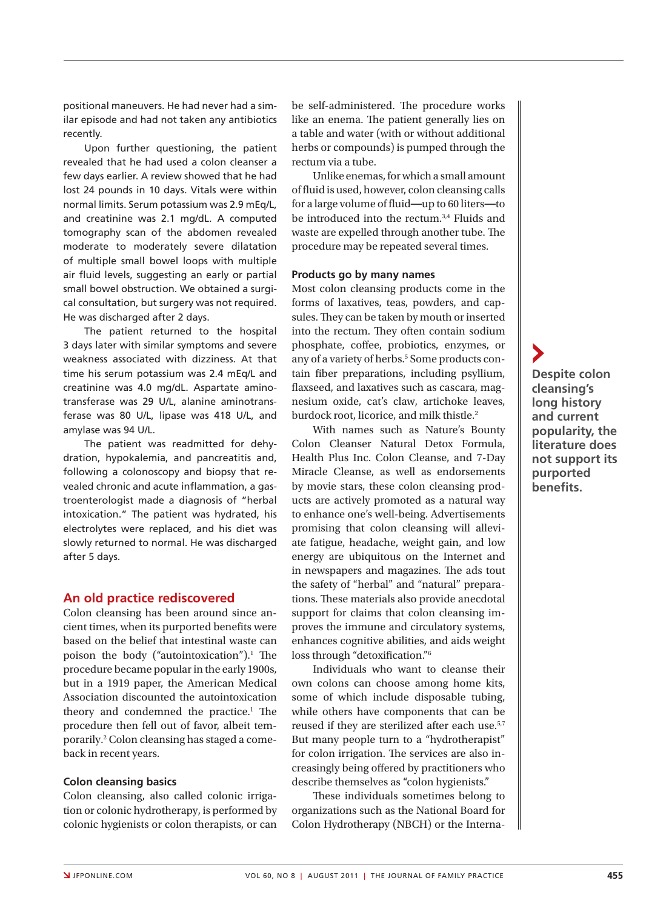positional maneuvers. He had never had a similar episode and had not taken any antibiotics recently.

Upon further questioning, the patient revealed that he had used a colon cleanser a few days earlier. A review showed that he had lost 24 pounds in 10 days. Vitals were within normal limits. Serum potassium was 2.9 mEq/L, and creatinine was 2.1 mg/dL. A computed tomography scan of the abdomen revealed moderate to moderately severe dilatation of multiple small bowel loops with multiple air fluid levels, suggesting an early or partial small bowel obstruction. We obtained a surgical consultation, but surgery was not required. He was discharged after 2 days.

The patient returned to the hospital 3 days later with similar symptoms and severe weakness associated with dizziness. At that time his serum potassium was 2.4 mEq/L and creatinine was 4.0 mg/dL. Aspartate aminotransferase was 29 U/L, alanine aminotransferase was 80 U/L, lipase was 418 U/L, and amylase was 94 U/L.

The patient was readmitted for dehydration, hypokalemia, and pancreatitis and, following a colonoscopy and biopsy that revealed chronic and acute inflammation, a gastroenterologist made a diagnosis of "herbal intoxication." The patient was hydrated, his electrolytes were replaced, and his diet was slowly returned to normal. He was discharged after 5 days.

#### **An old practice rediscovered**

Colon cleansing has been around since ancient times, when its purported benefits were based on the belief that intestinal waste can poison the body ("autointoxication").<sup>1</sup> The procedure became popular in the early 1900s, but in a 1919 paper, the American Medical Association discounted the autointoxication theory and condemned the practice.<sup>1</sup> The procedure then fell out of favor, albeit temporarily.2 Colon cleansing has staged a comeback in recent years.

#### **Colon cleansing basics**

Colon cleansing, also called colonic irrigation or colonic hydrotherapy, is performed by colonic hygienists or colon therapists, or can

be self-administered. The procedure works like an enema. The patient generally lies on a table and water (with or without additional herbs or compounds) is pumped through the rectum via a tube.

Unlike enemas, for which a small amount of fluid is used, however, colon cleansing calls for a large volume of fluid**—**up to 60 liters**—**to be introduced into the rectum.3,4 Fluids and waste are expelled through another tube. The procedure may be repeated several times.

#### **Products go by many names**

Most colon cleansing products come in the forms of laxatives, teas, powders, and capsules. They can be taken by mouth or inserted into the rectum. They often contain sodium phosphate, coffee, probiotics, enzymes, or any of a variety of herbs.<sup>5</sup> Some products contain fiber preparations, including psyllium, flaxseed, and laxatives such as cascara, magnesium oxide, cat's claw, artichoke leaves, burdock root, licorice, and milk thistle.<sup>2</sup>

With names such as Nature's Bounty Colon Cleanser Natural Detox Formula, Health Plus Inc. Colon Cleanse, and 7-Day Miracle Cleanse, as well as endorsements by movie stars, these colon cleansing products are actively promoted as a natural way to enhance one's well-being. Advertisements promising that colon cleansing will alleviate fatigue, headache, weight gain, and low energy are ubiquitous on the Internet and in newspapers and magazines. The ads tout the safety of "herbal" and "natural" preparations. These materials also provide anecdotal support for claims that colon cleansing improves the immune and circulatory systems, enhances cognitive abilities, and aids weight loss through "detoxification."6

Individuals who want to cleanse their own colons can choose among home kits, some of which include disposable tubing, while others have components that can be reused if they are sterilized after each use.5,7 But many people turn to a "hydrotherapist" for colon irrigation. The services are also increasingly being offered by practitioners who describe themselves as "colon hygienists."

These individuals sometimes belong to organizations such as the National Board for Colon Hydrotherapy (NBCH) or the Interna**Despite colon cleansing's long history and current popularity, the literature does not support its purported benefits.**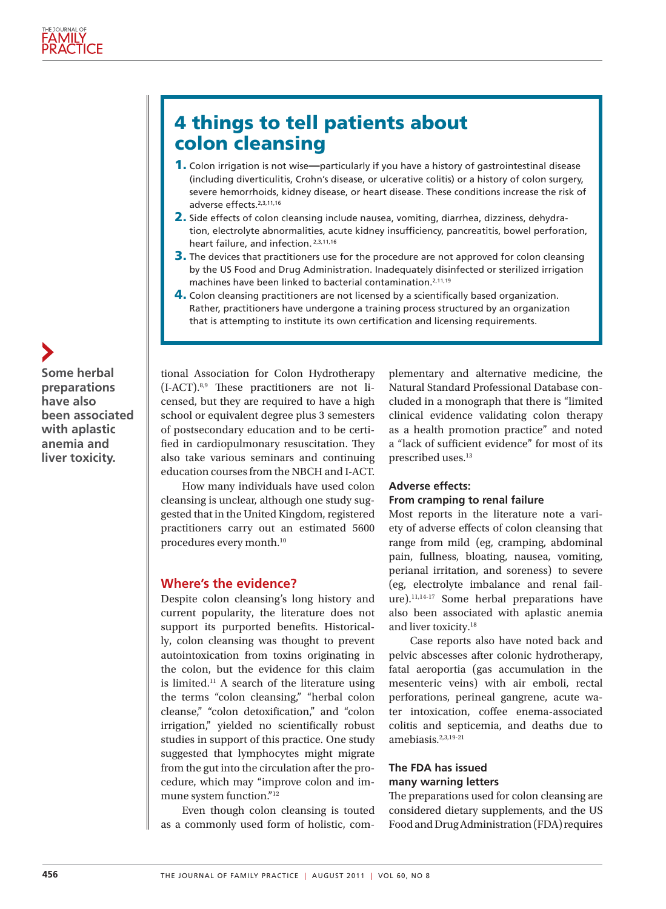# 4 things to tell patients about colon cleansing

- 1. Colon irrigation is not wise**—**particularly if you have a history of gastrointestinal disease (including diverticulitis, Crohn's disease, or ulcerative colitis) or a history of colon surgery, severe hemorrhoids, kidney disease, or heart disease. These conditions increase the risk of adverse effects.2,3,11,16
- 2. Side effects of colon cleansing include nausea, vomiting, diarrhea, dizziness, dehydration, electrolyte abnormalities, acute kidney insufficiency, pancreatitis, bowel perforation, heart failure, and infection. 2,3,11,16
- 3. The devices that practitioners use for the procedure are not approved for colon cleansing by the US Food and Drug Administration. Inadequately disinfected or sterilized irrigation machines have been linked to bacterial contamination.2,11,19
- 4. Colon cleansing practitioners are not licensed by a scientifically based organization. Rather, practitioners have undergone a training process structured by an organization that is attempting to institute its own certification and licensing requirements.

**Some herbal preparations have also been associated with aplastic anemia and liver toxicity.**

tional Association for Colon Hydrotherapy (I-ACT).8,9 These practitioners are not licensed, but they are required to have a high school or equivalent degree plus 3 semesters of postsecondary education and to be certified in cardiopulmonary resuscitation. They also take various seminars and continuing education courses from the NBCH and I-ACT.

How many individuals have used colon cleansing is unclear, although one study suggested that in the United Kingdom, registered practitioners carry out an estimated 5600 procedures every month.10

## **Where's the evidence?**

Despite colon cleansing's long history and current popularity, the literature does not support its purported benefits. Historically, colon cleansing was thought to prevent autointoxication from toxins originating in the colon, but the evidence for this claim is limited.11 A search of the literature using the terms "colon cleansing," "herbal colon cleanse," "colon detoxification," and "colon irrigation," yielded no scientifically robust studies in support of this practice. One study suggested that lymphocytes might migrate from the gut into the circulation after the procedure, which may "improve colon and immune system function."12

Even though colon cleansing is touted as a commonly used form of holistic, complementary and alternative medicine, the Natural Standard Professional Database concluded in a monograph that there is "limited clinical evidence validating colon therapy as a health promotion practice" and noted a "lack of sufficient evidence" for most of its prescribed uses.13

#### **Adverse effects: From cramping to renal failure**

Most reports in the literature note a variety of adverse effects of colon cleansing that range from mild (eg, cramping, abdominal pain, fullness, bloating, nausea, vomiting, perianal irritation, and soreness) to severe (eg, electrolyte imbalance and renal failure).<sup>11,14-17</sup> Some herbal preparations have also been associated with aplastic anemia and liver toxicity.18

Case reports also have noted back and pelvic abscesses after colonic hydrotherapy, fatal aeroportia (gas accumulation in the mesenteric veins) with air emboli, rectal perforations, perineal gangrene, acute water intoxication, coffee enema-associated colitis and septicemia, and deaths due to amebiasis.2,3,19-21

## **The FDA has issued many warning letters**

The preparations used for colon cleansing are considered dietary supplements, and the US Food and Drug Administration (FDA) requires